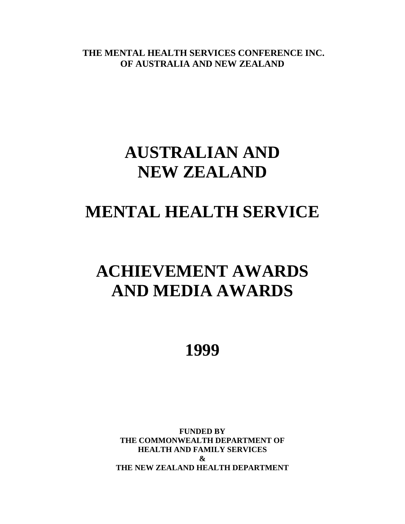**THE MENTAL HEALTH SERVICES CONFERENCE INC. OF AUSTRALIA AND NEW ZEALAND**

# **AUSTRALIAN AND NEW ZEALAND**

# **MENTAL HEALTH SERVICE**

# **ACHIEVEMENT AWARDS AND MEDIA AWARDS**

**1999**

**FUNDED BY THE COMMONWEALTH DEPARTMENT OF HEALTH AND FAMILY SERVICES & THE NEW ZEALAND HEALTH DEPARTMENT**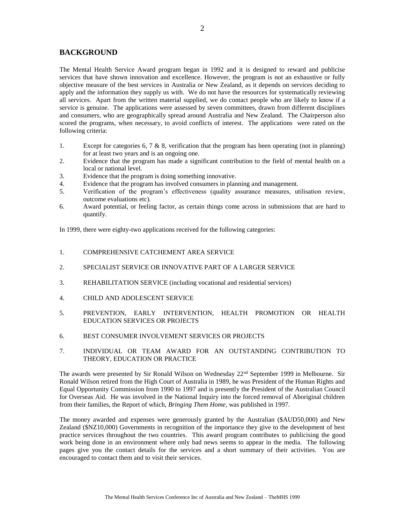### **BACKGROUND**

The Mental Health Service Award program began in 1992 and it is designed to reward and publicise services that have shown innovation and excellence. However, the program is not an exhaustive or fully objective measure of the best services in Australia or New Zealand, as it depends on services deciding to apply and the information they supply us with. We do not have the resources for systematically reviewing all services. Apart from the written material supplied, we do contact people who are likely to know if a service is genuine. The applications were assessed by seven committees, drawn from different disciplines and consumers, who are geographically spread around Australia and New Zealand. The Chairperson also scored the programs, when necessary, to avoid conflicts of interest. The applications were rated on the following criteria:

- 1. Except for categories 6, 7 & 8, verification that the program has been operating (not in planning) for at least two years and is an ongoing one.
- 2. Evidence that the program has made a significant contribution to the field of mental health on a local or national level.
- 3. Evidence that the program is doing something innovative.
- 4. Evidence that the program has involved consumers in planning and management.
- 5. Verification of the program's effectiveness (quality assurance measures, utilisation review, outcome evaluations etc).
- 6. Award potential, or feeling factor, as certain things come across in submissions that are hard to quantify.

In 1999, there were eighty-two applications received for the following categories:

- 1. COMPREHENSIVE CATCHEMENT AREA SERVICE
- 2. SPECIALIST SERVICE OR INNOVATIVE PART OF A LARGER SERVICE
- 3. REHABILITATION SERVICE (including vocational and residential services)
- 4. CHILD AND ADOLESCENT SERVICE
- 5. PREVENTION, EARLY INTERVENTION, HEALTH PROMOTION OR HEALTH EDUCATION SERVICES OR PROJECTS
- 6. BEST CONSUMER INVOLVEMENT SERVICES OR PROJECTS
- 7. INDIVIDUAL OR TEAM AWARD FOR AN OUTSTANDING CONTRIBUTION TO THEORY, EDUCATION OR PRACTICE

The awards were presented by Sir Ronald Wilson on Wednesday 22<sup>nd</sup> September 1999 in Melbourne. Sir Ronald Wilson retired from the High Court of Australia in 1989, he was President of the Human Rights and Equal Opportunity Commission from 1990 to 1997 and is presently the President of the Australian Council for Overseas Aid. He was involved in the National Inquiry into the forced removal of Aboriginal children from their families, the Report of which, *Bringing Them Home*, was published in 1997.

The money awarded and expenses were generously granted by the Australian (\$AUD50,000) and New Zealand (\$NZ10,000) Governments in recognition of the importance they give to the development of best practice services throughout the two countries. This award program contributes to publicising the good work being done in an environment where only bad news seems to appear in the media. The following pages give you the contact details for the services and a short summary of their activities. You are encouraged to contact them and to visit their services.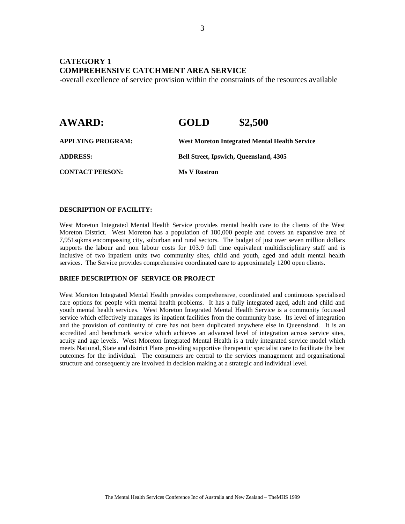### **CATEGORY 1 COMPREHENSIVE CATCHMENT AREA SERVICE**

-overall excellence of service provision within the constraints of the resources available

| <b>AWARD:</b>            | GOLD                                          | \$2,500                                              |
|--------------------------|-----------------------------------------------|------------------------------------------------------|
| <b>APPLYING PROGRAM:</b> |                                               | <b>West Moreton Integrated Mental Health Service</b> |
| <b>ADDRESS:</b>          | <b>Bell Street, Ipswich, Queensland, 4305</b> |                                                      |
| <b>CONTACT PERSON:</b>   | <b>Ms V Rostron</b>                           |                                                      |

#### **DESCRIPTION OF FACILITY:**

West Moreton Integrated Mental Health Service provides mental health care to the clients of the West Moreton District. West Moreton has a population of 180,000 people and covers an expansive area of 7,951sqkms encompassing city, suburban and rural sectors. The budget of just over seven million dollars supports the labour and non labour costs for 103.9 full time equivalent multidisciplinary staff and is inclusive of two inpatient units two community sites, child and youth, aged and adult mental health services. The Service provides comprehensive coordinated care to approximately 1200 open clients.

#### **BRIEF DESCRIPTION OF SERVICE OR PROJECT**

West Moreton Integrated Mental Health provides comprehensive, coordinated and continuous specialised care options for people with mental health problems. It has a fully integrated aged, adult and child and youth mental health services. West Moreton Integrated Mental Health Service is a community focussed service which effectively manages its inpatient facilities from the community base. Its level of integration and the provision of continuity of care has not been duplicated anywhere else in Queensland. It is an accredited and benchmark service which achieves an advanced level of integration across service sites, acuity and age levels. West Moreton Integrated Mental Health is a truly integrated service model which meets National, State and district Plans providing supportive therapeutic specialist care to facilitate the best outcomes for the individual. The consumers are central to the services management and organisational structure and consequently are involved in decision making at a strategic and individual level.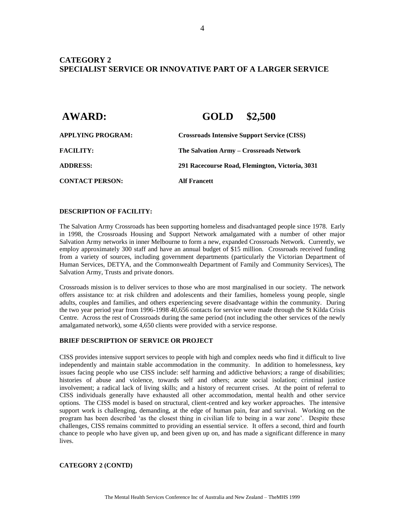### **CATEGORY 2 SPECIALIST SERVICE OR INNOVATIVE PART OF A LARGER SERVICE**

| <b>AWARD:</b>            | GOLD \$2,500                                       |  |
|--------------------------|----------------------------------------------------|--|
| <b>APPLYING PROGRAM:</b> | <b>Crossroads Intensive Support Service (CISS)</b> |  |
| <b>FACILITY:</b>         | The Salvation Army – Crossroads Network            |  |
| <b>ADDRESS:</b>          | 291 Racecourse Road, Flemington, Victoria, 3031    |  |
| <b>CONTACT PERSON:</b>   | Alf Francett                                       |  |

#### **DESCRIPTION OF FACILITY:**

The Salvation Army Crossroads has been supporting homeless and disadvantaged people since 1978. Early in 1998, the Crossroads Housing and Support Network amalgamated with a number of other major Salvation Army networks in inner Melbourne to form a new, expanded Crossroads Network. Currently, we employ approximately 300 staff and have an annual budget of \$15 million. Crossroads received funding from a variety of sources, including government departments (particularly the Victorian Department of Human Services, DETYA, and the Commonwealth Department of Family and Community Services), The Salvation Army, Trusts and private donors.

Crossroads mission is to deliver services to those who are most marginalised in our society. The network offers assistance to: at risk children and adolescents and their families, homeless young people, single adults, couples and families, and others experiencing severe disadvantage within the community. During the two year period year from 1996-1998 40,656 contacts for service were made through the St Kilda Crisis Centre. Across the rest of Crossroads during the same period (not including the other services of the newly amalgamated network), some 4,650 clients were provided with a service response.

#### **BRIEF DESCRIPTION OF SERVICE OR PROJECT**

CISS provides intensive support services to people with high and complex needs who find it difficult to live independently and maintain stable accommodation in the community. In addition to homelessness, key issues facing people who use CISS include: self harming and addictive behaviors; a range of disabilities; histories of abuse and violence, towards self and others; acute social isolation; criminal justice involvement; a radical lack of living skills; and a history of recurrent crises. At the point of referral to CISS individuals generally have exhausted all other accommodation, mental health and other service options. The CISS model is based on structural, client-centred and key worker approaches. The intensive support work is challenging, demanding, at the edge of human pain, fear and survival. Working on the program has been described 'as the closest thing in civilian life to being in a war zone'. Despite these challenges, CISS remains committed to providing an essential service. It offers a second, third and fourth chance to people who have given up, and been given up on, and has made a significant difference in many lives.

#### **CATEGORY 2 (CONTD)**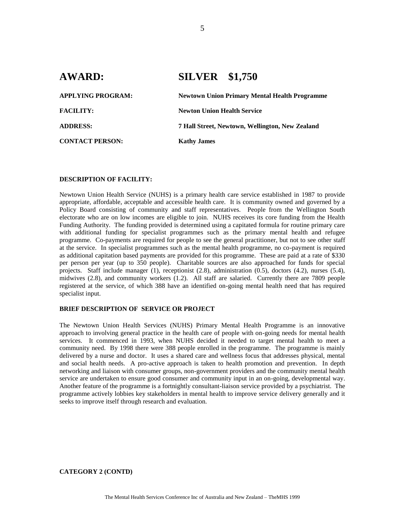# **AWARD: SILVER \$1,750 APPLYING PROGRAM: Newtown Union Primary Mental Health Programme FACILITY: Newton Union Health Service ADDRESS: 7 Hall Street, Newtown, Wellington, New Zealand CONTACT PERSON: Kathy James**

#### **DESCRIPTION OF FACILITY:**

Newtown Union Health Service (NUHS) is a primary health care service established in 1987 to provide appropriate, affordable, acceptable and accessible health care. It is community owned and governed by a Policy Board consisting of community and staff representatives. People from the Wellington South electorate who are on low incomes are eligible to join. NUHS receives its core funding from the Health Funding Authority. The funding provided is determined using a capitated formula for routine primary care with additional funding for specialist programmes such as the primary mental health and refugee programme. Co-payments are required for people to see the general practitioner, but not to see other staff at the service. In specialist programmes such as the mental health programme, no co-payment is required as additional capitation based payments are provided for this programme. These are paid at a rate of \$330 per person per year (up to 350 people). Charitable sources are also approached for funds for special projects. Staff include manager (1), receptionist (2.8), administration (0.5), doctors (4.2), nurses (5.4), midwives (2.8), and community workers (1.2). All staff are salaried. Currently there are 7809 people registered at the service, of which 388 have an identified on-going mental health need that has required specialist input.

#### **BRIEF DESCRIPTION OF SERVICE OR PROJECT**

The Newtown Union Health Services (NUHS) Primary Mental Health Programme is an innovative approach to involving general practice in the health care of people with on-going needs for mental health services. It commenced in 1993, when NUHS decided it needed to target mental health to meet a community need. By 1998 there were 388 people enrolled in the programme. The programme is mainly delivered by a nurse and doctor. It uses a shared care and wellness focus that addresses physical, mental and social health needs. A pro-active approach is taken to health promotion and prevention. In depth networking and liaison with consumer groups, non-government providers and the community mental health service are undertaken to ensure good consumer and community input in an on-going, developmental way. Another feature of the programme is a fortnightly consultant-liaison service provided by a psychiatrist. The programme actively lobbies key stakeholders in mental health to improve service delivery generally and it seeks to improve itself through research and evaluation.

**CATEGORY 2 (CONTD)**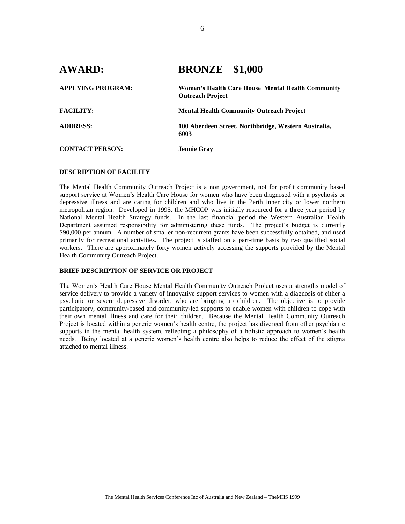| <b>AWARD:</b>            | <b>BRONZE</b> \$1,000                                                        |  |
|--------------------------|------------------------------------------------------------------------------|--|
| <b>APPLYING PROGRAM:</b> | Women's Health Care House Mental Health Community<br><b>Outreach Project</b> |  |
| <b>FACILITY:</b>         | <b>Mental Health Community Outreach Project</b>                              |  |
| <b>ADDRESS:</b>          | 100 Aberdeen Street, Northbridge, Western Australia,<br>6003                 |  |
| <b>CONTACT PERSON:</b>   | <b>Jennie Gray</b>                                                           |  |

#### **DESCRIPTION OF FACILITY**

The Mental Health Community Outreach Project is a non government, not for profit community based support service at Women's Health Care House for women who have been diagnosed with a psychosis or depressive illness and are caring for children and who live in the Perth inner city or lower northern metropolitan region. Developed in 1995, the MHCOP was initially resourced for a three year period by National Mental Health Strategy funds. In the last financial period the Western Australian Health Department assumed responsibility for administering these funds. The project's budget is currently \$90,000 per annum. A number of smaller non-recurrent grants have been successfully obtained, and used primarily for recreational activities. The project is staffed on a part-time basis by two qualified social workers. There are approximately forty women actively accessing the supports provided by the Mental Health Community Outreach Project.

#### **BRIEF DESCRIPTION OF SERVICE OR PROJECT**

The Women's Health Care House Mental Health Community Outreach Project uses a strengths model of service delivery to provide a variety of innovative support services to women with a diagnosis of either a psychotic or severe depressive disorder, who are bringing up children. The objective is to provide participatory, community-based and community-led supports to enable women with children to cope with their own mental illness and care for their children. Because the Mental Health Community Outreach Project is located within a generic women's health centre, the project has diverged from other psychiatric supports in the mental health system, reflecting a philosophy of a holistic approach to women's health needs. Being located at a generic women's health centre also helps to reduce the effect of the stigma attached to mental illness.

6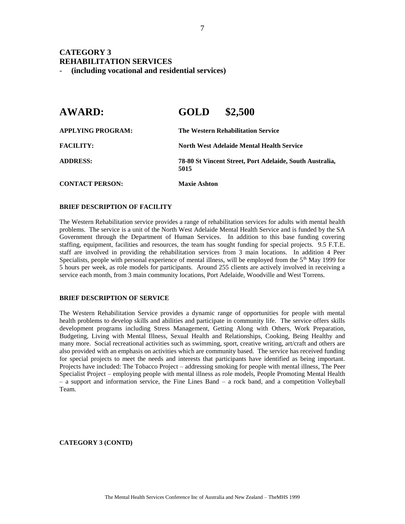## **CATEGORY 3 REHABILITATION SERVICES**

- **(including vocational and residential services)** 

| <b>AWARD:</b>          | \$2,500<br><b>GOLD</b>                                           |  |
|------------------------|------------------------------------------------------------------|--|
| APPLYING PROGRAM:      | The Western Rehabilitation Service                               |  |
| <b>FACILITY:</b>       | North West Adelaide Mental Health Service                        |  |
| <b>ADDRESS:</b>        | 78-80 St Vincent Street, Port Adelaide, South Australia,<br>5015 |  |
| <b>CONTACT PERSON:</b> | <b>Maxie Ashton</b>                                              |  |

#### **BRIEF DESCRIPTION OF FACILITY**

The Western Rehabilitation service provides a range of rehabilitation services for adults with mental health problems. The service is a unit of the North West Adelaide Mental Health Service and is funded by the SA Government through the Department of Human Services. In addition to this base funding covering staffing, equipment, facilities and resources, the team has sought funding for special projects. 9.5 F.T.E. staff are involved in providing the rehabilitation services from 3 main locations. In addition 4 Peer Specialists, people with personal experience of mental illness, will be employed from the  $5<sup>th</sup>$  May 1999 for 5 hours per week, as role models for participants. Around 255 clients are actively involved in receiving a service each month, from 3 main community locations, Port Adelaide, Woodville and West Torrens.

#### **BRIEF DESCRIPTION OF SERVICE**

The Western Rehabilitation Service provides a dynamic range of opportunities for people with mental health problems to develop skills and abilities and participate in community life. The service offers skills development programs including Stress Management, Getting Along with Others, Work Preparation, Budgeting, Living with Mental Illness, Sexual Health and Relationships, Cooking, Being Healthy and many more. Social recreational activities such as swimming, sport, creative writing, art/craft and others are also provided with an emphasis on activities which are community based. The service has received funding for special projects to meet the needs and interests that participants have identified as being important. Projects have included: The Tobacco Project – addressing smoking for people with mental illness, The Peer Specialist Project – employing people with mental illness as role models, People Promoting Mental Health – a support and information service, the Fine Lines Band – a rock band, and a competition Volleyball Team.

**CATEGORY 3 (CONTD)**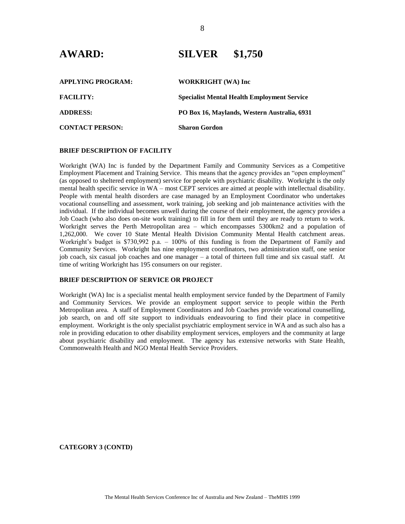| <b>APPLYING PROGRAM:</b> | <b>WORKRIGHT</b> (WA) Inc                          |
|--------------------------|----------------------------------------------------|
| <b>FACILITY:</b>         | <b>Specialist Mental Health Employment Service</b> |
| <b>ADDRESS:</b>          | PO Box 16, Maylands, Western Australia, 6931       |
| <b>CONTACT PERSON:</b>   | <b>Sharon Gordon</b>                               |

#### **BRIEF DESCRIPTION OF FACILITY**

Workright (WA) Inc is funded by the Department Family and Community Services as a Competitive Employment Placement and Training Service. This means that the agency provides an "open employment" (as opposed to sheltered employment) service for people with psychiatric disability. Workright is the only mental health specific service in WA – most CEPT services are aimed at people with intellectual disability. People with mental health disorders are case managed by an Employment Coordinator who undertakes vocational counselling and assessment, work training, job seeking and job maintenance activities with the individual. If the individual becomes unwell during the course of their employment, the agency provides a Job Coach (who also does on-site work training) to fill in for them until they are ready to return to work. Workright serves the Perth Metropolitan area – which encompasses 5300km2 and a population of 1,262,000. We cover 10 State Mental Health Division Community Mental Health catchment areas. Workright's budget is \$730,992 p.a. – 100% of this funding is from the Department of Family and Community Services. Workright has nine employment coordinators, two administration staff, one senior job coach, six casual job coaches and one manager – a total of thirteen full time and six casual staff. At time of writing Workright has 195 consumers on our register.

#### **BRIEF DESCRIPTION OF SERVICE OR PROJECT**

Workright (WA) Inc is a specialist mental health employment service funded by the Department of Family and Community Services. We provide an employment support service to people within the Perth Metropolitan area. A staff of Employment Coordinators and Job Coaches provide vocational counselling, job search, on and off site support to individuals endeavouring to find their place in competitive employment. Workright is the only specialist psychiatric employment service in WA and as such also has a role in providing education to other disability employment services, employers and the community at large about psychiatric disability and employment. The agency has extensive networks with State Health, Commonwealth Health and NGO Mental Health Service Providers.

**CATEGORY 3 (CONTD)**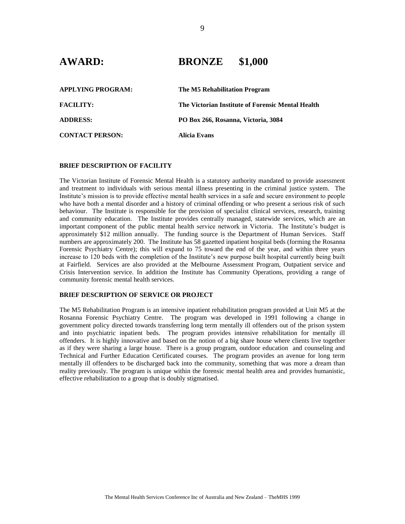## **AWARD: BRONZE \$1,000**

| <b>APPLYING PROGRAM:</b> | The M5 Rehabilitation Program                     |
|--------------------------|---------------------------------------------------|
| <b>FACILITY:</b>         | The Victorian Institute of Forensic Mental Health |
| <b>ADDRESS:</b>          | PO Box 266, Rosanna, Victoria, 3084               |
| <b>CONTACT PERSON:</b>   | Alicia Evans                                      |

#### **BRIEF DESCRIPTION OF FACILITY**

The Victorian Institute of Forensic Mental Health is a statutory authority mandated to provide assessment and treatment to individuals with serious mental illness presenting in the criminal justice system. The Institute's mission is to provide effective mental health services in a safe and secure environment to people who have both a mental disorder and a history of criminal offending or who present a serious risk of such behaviour. The Institute is responsible for the provision of specialist clinical services, research, training and community education. The Institute provides centrally managed, statewide services, which are an important component of the public mental health service network in Victoria. The Institute's budget is approximately \$12 million annually. The funding source is the Department of Human Services. Staff numbers are approximately 200. The Institute has 58 gazetted inpatient hospital beds (forming the Rosanna Forensic Psychiatry Centre); this will expand to 75 toward the end of the year, and within three years increase to 120 beds with the completion of the Institute's new purpose built hospital currently being built at Fairfield. Services are also provided at the Melbourne Assessment Program, Outpatient service and Crisis Intervention service. In addition the Institute has Community Operations, providing a range of community forensic mental health services.

#### **BRIEF DESCRIPTION OF SERVICE OR PROJECT**

The M5 Rehabilitation Program is an intensive inpatient rehabilitation program provided at Unit M5 at the Rosanna Forensic Psychiatry Centre. The program was developed in 1991 following a change in government policy directed towards transferring long term mentally ill offenders out of the prison system and into psychiatric inpatient beds. The program provides intensive rehabilitation for mentally ill offenders. It is highly innovative and based on the notion of a big share house where clients live together as if they were sharing a large house. There is a group program, outdoor education and counseling and Technical and Further Education Certificated courses. The program provides an avenue for long term mentally ill offenders to be discharged back into the community, something that was more a dream than reality previously. The program is unique within the forensic mental health area and provides humanistic, effective rehabilitation to a group that is doubly stigmatised.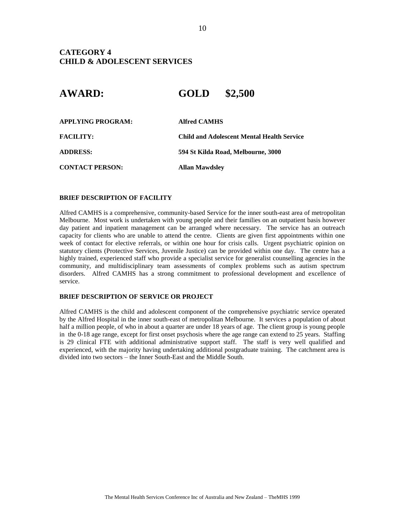## **CATEGORY 4 CHILD & ADOLESCENT SERVICES**

# **AWARD: GOLD \$2,500**

| <b>APPLYING PROGRAM:</b> | <b>Alfred CAMHS</b>                               |
|--------------------------|---------------------------------------------------|
| <b>FACILITY:</b>         | <b>Child and Adolescent Mental Health Service</b> |
| <b>ADDRESS:</b>          | 594 St Kilda Road, Melbourne, 3000                |
| <b>CONTACT PERSON:</b>   | <b>Allan Mawdsley</b>                             |

#### **BRIEF DESCRIPTION OF FACILITY**

Alfred CAMHS is a comprehensive, community-based Service for the inner south-east area of metropolitan Melbourne. Most work is undertaken with young people and their families on an outpatient basis however day patient and inpatient management can be arranged where necessary. The service has an outreach capacity for clients who are unable to attend the centre. Clients are given first appointments within one week of contact for elective referrals, or within one hour for crisis calls. Urgent psychiatric opinion on statutory clients (Protective Services, Juvenile Justice) can be provided within one day. The centre has a highly trained, experienced staff who provide a specialist service for generalist counselling agencies in the community, and multidisciplinary team assessments of complex problems such as autism spectrum disorders. Alfred CAMHS has a strong commitment to professional development and excellence of service.

#### **BRIEF DESCRIPTION OF SERVICE OR PROJECT**

Alfred CAMHS is the child and adolescent component of the comprehensive psychiatric service operated by the Alfred Hospital in the inner south-east of metropolitan Melbourne. It services a population of about half a million people, of who in about a quarter are under 18 years of age. The client group is young people in the 0-18 age range, except for first onset psychosis where the age range can extend to 25 years. Staffing is 29 clinical FTE with additional administrative support staff. The staff is very well qualified and experienced, with the majority having undertaking additional postgraduate training. The catchment area is divided into two sectors – the Inner South-East and the Middle South.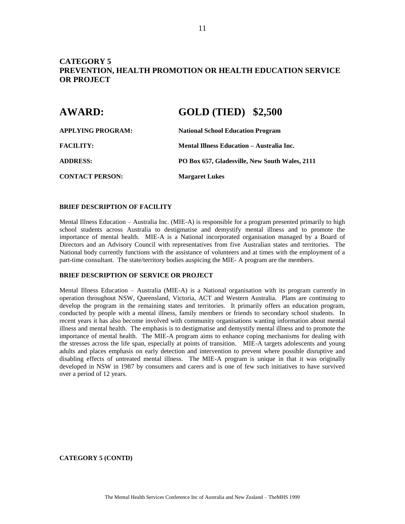## **CATEGORY 5 PREVENTION, HEALTH PROMOTION OR HEALTH EDUCATION SERVICE OR PROJECT**

| <b>AWARD:</b>          | <b>GOLD (TIED) \$2,500</b>                     |  |
|------------------------|------------------------------------------------|--|
| APPLYING PROGRAM:      | <b>National School Education Program</b>       |  |
| <b>FACILITY:</b>       | Mental Illness Education – Australia Inc.      |  |
| <b>ADDRESS:</b>        | PO Box 657, Gladesville, New South Wales, 2111 |  |
| <b>CONTACT PERSON:</b> | <b>Margaret Lukes</b>                          |  |

#### **BRIEF DESCRIPTION OF FACILITY**

Mental Illness Education – Australia Inc. (MIE-A) is responsible for a program presented primarily to high school students across Australia to destigmatise and demystify mental illness and to promote the importance of mental health. MIE-A is a National incorporated organisation managed by a Board of Directors and an Advisory Council with representatives from five Australian states and territories. The National body currently functions with the assistance of volunteers and at times with the employment of a part-time consultant. The state/territory bodies auspicing the MIE- A program are the members.

#### **BRIEF DESCRIPTION OF SERVICE OR PROJECT**

Mental Illness Education – Australia (MIE-A) is a National organisation with its program currently in operation throughout NSW, Queensland, Victoria, ACT and Western Australia. Plans are continuing to develop the program in the remaining states and territories. It primarily offers an education program, conducted by people with a mental illness, family members or friends to secondary school students. In recent years it has also become involved with community organisations wanting information about mental illness and mental health. The emphasis is to destigmatise and demystify mental illness and to promote the importance of mental health. The MIE-A program aims to enhance coping mechanisms for dealing with the stresses across the life span, especially at points of transition. MIE-A targets adolescents and young adults and places emphasis on early detection and intervention to prevent where possible disruptive and disabling effects of untreated mental illness. The MIE-A program is unique in that it was originally developed in NSW in 1987 by consumers and carers and is one of few such initiatives to have survived over a period of 12 years.

**CATEGORY 5 (CONTD)**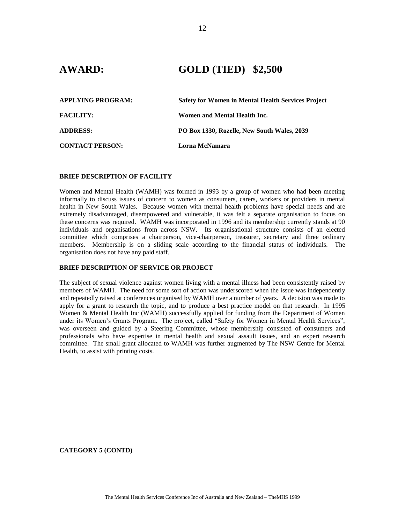## **AWARD: GOLD (TIED) \$2,500**

| <b>APPLYING PROGRAM:</b> | <b>Safety for Women in Mental Health Services Project</b> |
|--------------------------|-----------------------------------------------------------|
| <b>FACILITY:</b>         | Women and Mental Health Inc.                              |
| <b>ADDRESS:</b>          | PO Box 1330, Rozelle, New South Wales, 2039               |
| <b>CONTACT PERSON:</b>   | Lorna McNamara                                            |

#### **BRIEF DESCRIPTION OF FACILITY**

Women and Mental Health (WAMH) was formed in 1993 by a group of women who had been meeting informally to discuss issues of concern to women as consumers, carers, workers or providers in mental health in New South Wales. Because women with mental health problems have special needs and are extremely disadvantaged, disempowered and vulnerable, it was felt a separate organisation to focus on these concerns was required. WAMH was incorporated in 1996 and its membership currently stands at 90 individuals and organisations from across NSW. Its organisational structure consists of an elected committee which comprises a chairperson, vice-chairperson, treasurer, secretary and three ordinary members. Membership is on a sliding scale according to the financial status of individuals. The organisation does not have any paid staff.

#### **BRIEF DESCRIPTION OF SERVICE OR PROJECT**

The subject of sexual violence against women living with a mental illness had been consistently raised by members of WAMH. The need for some sort of action was underscored when the issue was independently and repeatedly raised at conferences organised by WAMH over a number of years. A decision was made to apply for a grant to research the topic, and to produce a best practice model on that research. In 1995 Women & Mental Health Inc (WAMH) successfully applied for funding from the Department of Women under its Women's Grants Program. The project, called "Safety for Women in Mental Health Services", was overseen and guided by a Steering Committee, whose membership consisted of consumers and professionals who have expertise in mental health and sexual assault issues, and an expert research committee. The small grant allocated to WAMH was further augmented by The NSW Centre for Mental Health, to assist with printing costs.

**CATEGORY 5 (CONTD)**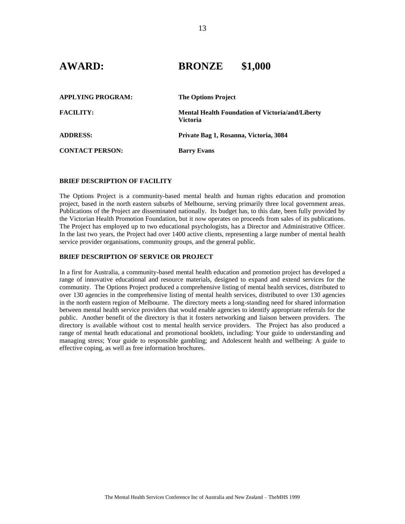# **AWARD: BRONZE \$1,000**

| <b>APPLYING PROGRAM:</b> | <b>The Options Project</b>                                                 |
|--------------------------|----------------------------------------------------------------------------|
| <b>FACILITY:</b>         | <b>Mental Health Foundation of Victoria/and/Liberty</b><br><b>Victoria</b> |
| <b>ADDRESS:</b>          | Private Bag 1, Rosanna, Victoria, 3084                                     |
| <b>CONTACT PERSON:</b>   | <b>Barry Evans</b>                                                         |

#### **BRIEF DESCRIPTION OF FACILITY**

The Options Project is a community-based mental health and human rights education and promotion project, based in the north eastern suburbs of Melbourne, serving primarily three local government areas. Publications of the Project are disseminated nationally. Its budget has, to this date, been fully provided by the Victorian Health Promotion Foundation, but it now operates on proceeds from sales of its publications. The Project has employed up to two educational psychologists, has a Director and Administrative Officer. In the last two years, the Project had over 1400 active clients, representing a large number of mental health service provider organisations, community groups, and the general public.

#### **BRIEF DESCRIPTION OF SERVICE OR PROJECT**

In a first for Australia, a community-based mental health education and promotion project has developed a range of innovative educational and resource materials, designed to expand and extend services for the community. The Options Project produced a comprehensive listing of mental health services, distributed to over 130 agencies in the comprehensive listing of mental health services, distributed to over 130 agencies in the north eastern region of Melbourne. The directory meets a long-standing need for shared information between mental health service providers that would enable agencies to identify appropriate referrals for the public. Another benefit of the directory is that it fosters networking and liaison between providers. The directory is available without cost to mental health service providers. The Project has also produced a range of mental heath educational and promotional booklets, including: Your guide to understanding and managing stress; Your guide to responsible gambling; and Adolescent health and wellbeing: A guide to effective coping, as well as free information brochures.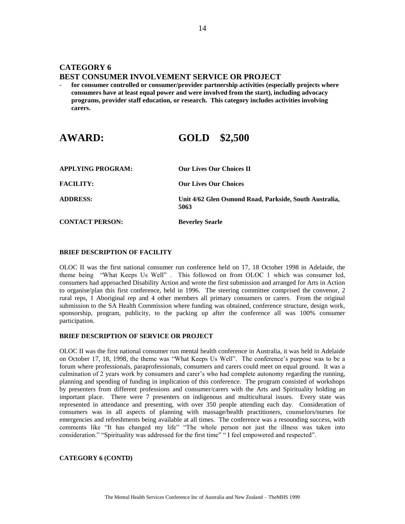## **CATEGORY 6 BEST CONSUMER INVOLVEMENT SERVICE OR PROJECT**

- **for consumer controlled or consumer/provider partnership activities (especially projects where consumers have at least equal power and were involved from the start), including advocacy programs, provider staff education, or research. This category includes activities involving carers.**

# **AWARD: GOLD \$2,500**

| <b>APPLYING PROGRAM:</b> | <b>Our Lives Our Choices II</b>                                |
|--------------------------|----------------------------------------------------------------|
| <b>FACILITY:</b>         | <b>Our Lives Our Choices</b>                                   |
| <b>ADDRESS:</b>          | Unit 4/62 Glen Osmond Road, Parkside, South Australia,<br>5063 |
| <b>CONTACT PERSON:</b>   | <b>Beverley Searle</b>                                         |

#### **BRIEF DESCRIPTION OF FACILITY**

OLOC II was the first national consumer run conference held on 17, 18 October 1998 in Adelaide, the theme being "What Keeps Us Well" . This followed on from OLOC 1 which was consumer led, consumers had approached Disability Action and wrote the first submission and arranged for Arts in Action to organise/plan this first conference, held in 1996. The steering committee comprised the convenor, 2 rural reps, 1 Aboriginal rep and 4 other members all primary consumers or carers. From the original submission to the SA Health Commission where funding was obtained, conference structure, design work, sponsorship, program, publicity, to the packing up after the conference all was 100% consumer participation.

#### **BRIEF DESCRIPTION OF SERVICE OR PROJECT**

OLOC II was the first national consumer run mental health conference in Australia, it was held in Adelaide on October 17, 18, 1998, the theme was "What Keeps Us Well". The conference's purpose was to be a forum where professionals, paraprofessionals, consumers and carers could meet on equal ground. It was a culmination of 2 years work by consumers and carer's who had complete autonomy regarding the running, planning and spending of funding in implication of this conference. The program consisted of workshops by presenters from different professions and consumer/carers with the Arts and Spirituality holding an important place. There were 7 presenters on indigenous and multicultural issues. Every state was represented in attendance and presenting, with over 350 people attending each day. Consideration of consumers was in all aspects of planning with massage/health practitioners, counselors/nurses for emergencies and refreshments being available at all times. The conference was a resounding success, with comments like "It has changed my life" "The whole person not just the illness was taken into consideration." "Spirituality was addressed for the first time" " I feel empowered and respected".

#### **CATEGORY 6 (CONTD)**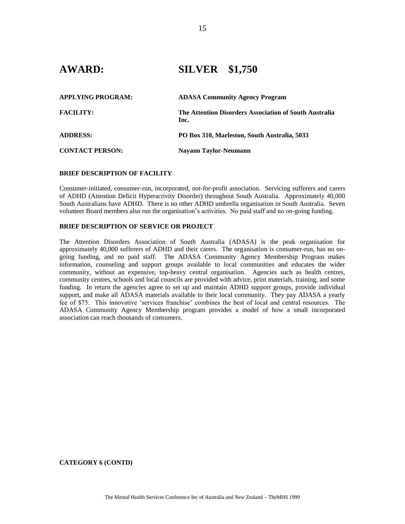## **AWARD: SILVER \$1,750**

| <b>APPLYING PROGRAM:</b> | <b>ADASA Community Agency Program</b>                          |
|--------------------------|----------------------------------------------------------------|
| <b>FACILITY:</b>         | The Attention Disorders Association of South Australia<br>Inc. |
| <b>ADDRESS:</b>          | PO Box 310, Marleston, South Australia, 5033                   |
| <b>CONTACT PERSON:</b>   | Nayano Taylor-Neumann                                          |

#### **BRIEF DESCRIPTION OF FACILITY**

Consumer-initiated, consumer-run, incorporated, not-for-profit association. Servicing sufferers and carers of ADHD (Attention Deficit Hyperactivity Disorder) throughout South Australia. Approximately 40,000 South Australians have ADHD. There is no other ADHD umbrella organisation in South Australia. Seven volunteer Board members also run the organisation's activities. No paid staff and no on-going funding.

#### **BRIEF DESCRIPTION OF SERVICE OR PROJECT**

The Attention Disorders Association of South Australia (ADASA) is the peak organisation for approximately 40,000 sufferers of ADHD and their carers. The organisation is consumer-run, has no ongoing funding, and no paid staff. The ADASA Community Agency Membership Program makes information, counseling and support groups available to local communities and educates the wider community, without an expensive, top-heavy central organisation. Agencies such as health centres, community centres, schools and local councils are provided with advice, print materials, training, and some funding. In return the agencies agree to set up and maintain ADHD support groups, provide individual support, and make all ADASA materials available to their local community. They pay ADASA a yearly fee of \$75. This innovative 'services franchise' combines the best of local and central resources. The ADASA Community Agency Membership program provides a model of how a small incorporated association can reach thousands of consumers.

**CATEGORY 6 (CONTD)**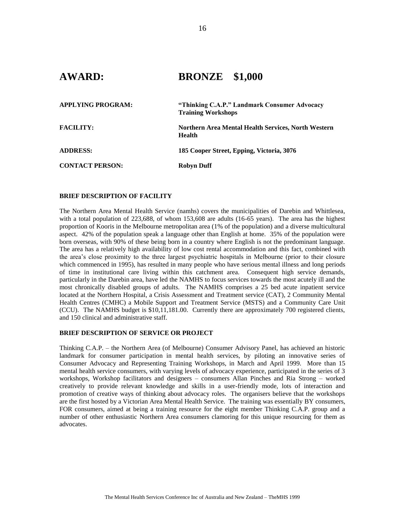# **AWARD: BRONZE \$1,000**

| APPLYING PROGRAM:      | "Thinking C.A.P." Landmark Consumer Advocacy<br><b>Training Workshops</b> |
|------------------------|---------------------------------------------------------------------------|
| <b>FACILITY:</b>       | Northern Area Mental Health Services, North Western<br><b>Health</b>      |
| <b>ADDRESS:</b>        | 185 Cooper Street, Epping, Victoria, 3076                                 |
| <b>CONTACT PERSON:</b> | <b>Robyn Duff</b>                                                         |

#### **BRIEF DESCRIPTION OF FACILITY**

The Northern Area Mental Health Service (namhs) covers the municipalities of Darebin and Whittlesea, with a total population of 223,688, of whom 153,608 are adults (16-65 years). The area has the highest proportion of Kooris in the Melbourne metropolitan area (1% of the population) and a diverse multicultural aspect. 42% of the population speak a language other than English at home. 35% of the population were born overseas, with 90% of these being born in a country where English is not the predominant language. The area has a relatively high availability of low cost rental accommodation and this fact, combined with the area's close proximity to the three largest psychiatric hospitals in Melbourne (prior to their closure which commenced in 1995), has resulted in many people who have serious mental illness and long periods of time in institutional care living within this catchment area. Consequent high service demands, particularly in the Darebin area, have led the NAMHS to focus services towards the most acutely ill and the most chronically disabled groups of adults. The NAMHS comprises a 25 bed acute inpatient service located at the Northern Hospital, a Crisis Assessment and Treatment service (CAT), 2 Community Mental Health Centres (CMHC) a Mobile Support and Treatment Service (MSTS) and a Community Care Unit (CCU). The NAMHS budget is \$10,11,181.00. Currently there are approximately 700 registered clients, and 150 clinical and administrative staff.

#### **BRIEF DESCRIPTION OF SERVICE OR PROJECT**

Thinking C.A.P. – the Northern Area (of Melbourne) Consumer Advisory Panel, has achieved an historic landmark for consumer participation in mental health services, by piloting an innovative series of Consumer Advocacy and Representing Training Workshops, in March and April 1999. More than 15 mental health service consumers, with varying levels of advocacy experience, participated in the series of 3 workshops, Workshop facilitators and designers – consumers Allan Pinches and Ria Strong – worked creatively to provide relevant knowledge and skills in a user-friendly mode, lots of interaction and promotion of creative ways of thinking about advocacy roles. The organisers believe that the workshops are the first hosted by a Victorian Area Mental Health Service. The training was essentially BY consumers, FOR consumers, aimed at being a training resource for the eight member Thinking C.A.P. group and a number of other enthusiastic Northern Area consumers clamoring for this unique resourcing for them as advocates.

16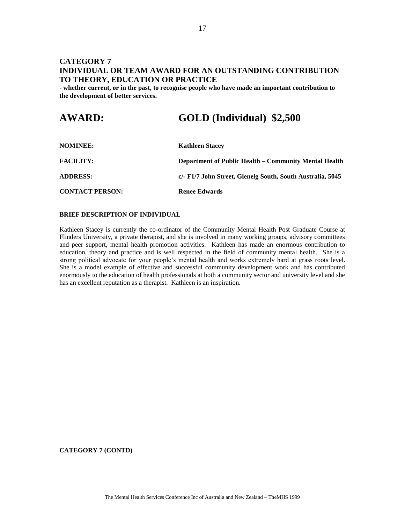## **CATEGORY 7 INDIVIDUAL OR TEAM AWARD FOR AN OUTSTANDING CONTRIBUTION TO THEORY, EDUCATION OR PRACTICE**

- **whether current, or in the past, to recognise people who have made an important contribution to the development of better services.**

# **AWARD: GOLD (Individual) \$2,500**

| <b>NOMINEE:</b>        | <b>Kathleen Stacey</b>                                     |
|------------------------|------------------------------------------------------------|
| <b>FACILITY:</b>       | Department of Public Health – Community Mental Health      |
| <b>ADDRESS:</b>        | c/- F1/7 John Street, Glenelg South, South Australia, 5045 |
| <b>CONTACT PERSON:</b> | Renee Edwards                                              |

#### **BRIEF DESCRIPTION OF INDIVIDUAL**

Kathleen Stacey is currently the co-ordinator of the Community Mental Health Post Graduate Course at Flinders University, a private therapist, and she is involved in many working groups, advisory committees and peer support, mental health promotion activities. Kathleen has made an enormous contribution to education, theory and practice and is well respected in the field of community mental health. She is a strong political advocate for your people's mental health and works extremely hard at grass roots level. She is a model example of effective and successful community development work and has contributed enormously to the education of health professionals at both a community sector and university level and she has an excellent reputation as a therapist. Kathleen is an inspiration.

**CATEGORY 7 (CONTD)**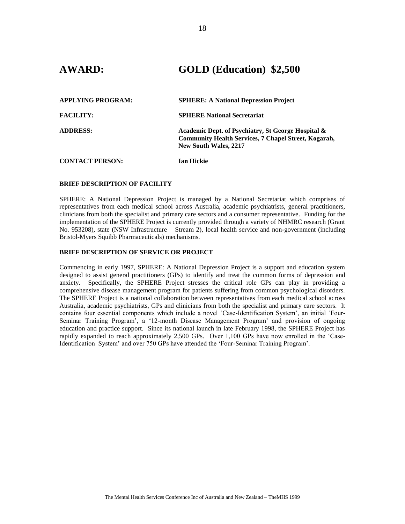## **AWARD: GOLD (Education) \$2,500**

| <b>APPLYING PROGRAM:</b> | <b>SPHERE: A National Depression Project</b>                                                                                                      |
|--------------------------|---------------------------------------------------------------------------------------------------------------------------------------------------|
| <b>FACILITY:</b>         | <b>SPHERE National Secretariat</b>                                                                                                                |
| <b>ADDRESS:</b>          | Academic Dept. of Psychiatry, St George Hospital &<br><b>Community Health Services, 7 Chapel Street, Kogarah,</b><br><b>New South Wales, 2217</b> |
| <b>CONTACT PERSON:</b>   | Ian Hickie                                                                                                                                        |

#### **BRIEF DESCRIPTION OF FACILITY**

SPHERE: A National Depression Project is managed by a National Secretariat which comprises of representatives from each medical school across Australia, academic psychiatrists, general practitioners, clinicians from both the specialist and primary care sectors and a consumer representative. Funding for the implementation of the SPHERE Project is currently provided through a variety of NHMRC research (Grant No. 953208), state (NSW Infrastructure – Stream 2), local health service and non-government (including Bristol-Myers Squibb Pharmaceuticals) mechanisms.

#### **BRIEF DESCRIPTION OF SERVICE OR PROJECT**

Commencing in early 1997, SPHERE: A National Depression Project is a support and education system designed to assist general practitioners (GPs) to identify and treat the common forms of depression and anxiety. Specifically, the SPHERE Project stresses the critical role GPs can play in providing a comprehensive disease management program for patients suffering from common psychological disorders. The SPHERE Project is a national collaboration between representatives from each medical school across Australia, academic psychiatrists, GPs and clinicians from both the specialist and primary care sectors. It contains four essential components which include a novel 'Case-Identification System', an initial 'Four-Seminar Training Program', a '12-month Disease Management Program' and provision of ongoing education and practice support. Since its national launch in late February 1998, the SPHERE Project has rapidly expanded to reach approximately 2,500 GPs. Over 1,100 GPs have now enrolled in the 'Case-Identification System' and over 750 GPs have attended the 'Four-Seminar Training Program'.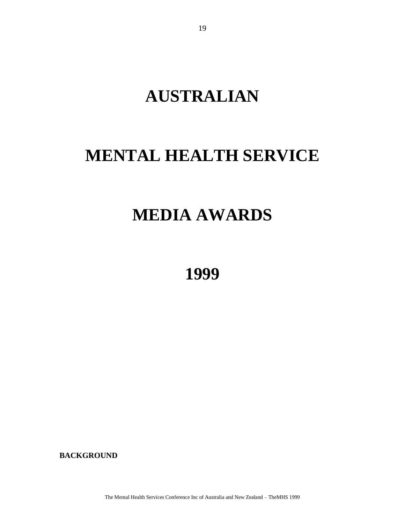# **AUSTRALIAN**

# **MENTAL HEALTH SERVICE**

# **MEDIA AWARDS**

**1999**

**BACKGROUND**

The Mental Health Services Conference Inc of Australia and New Zealand – TheMHS 1999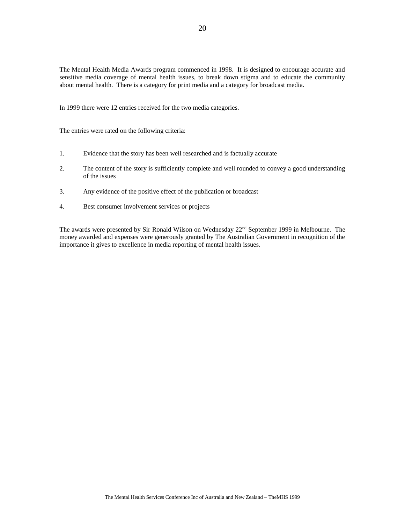The Mental Health Media Awards program commenced in 1998. It is designed to encourage accurate and sensitive media coverage of mental health issues, to break down stigma and to educate the community about mental health. There is a category for print media and a category for broadcast media.

In 1999 there were 12 entries received for the two media categories.

The entries were rated on the following criteria:

- 1. Evidence that the story has been well researched and is factually accurate
- 2. The content of the story is sufficiently complete and well rounded to convey a good understanding of the issues
- 3. Any evidence of the positive effect of the publication or broadcast
- 4. Best consumer involvement services or projects

The awards were presented by Sir Ronald Wilson on Wednesday 22<sup>nd</sup> September 1999 in Melbourne. The money awarded and expenses were generously granted by The Australian Government in recognition of the importance it gives to excellence in media reporting of mental health issues.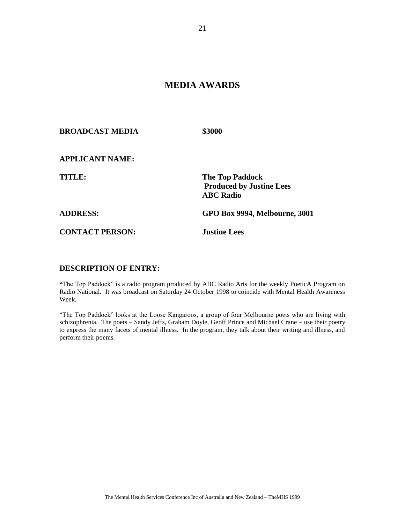## **MEDIA AWARDS**

**BROADCAST MEDIA \$3000**

**APPLICANT NAME:**

**TITLE: The Top Paddock Produced by Justine Lees ABC Radio**

**ADDRESS: GPO Box 9994, Melbourne, 3001**

**CONTACT PERSON: Justine Lees**

### **DESCRIPTION OF ENTRY:**

**"**The Top Paddock" is a radio program produced by ABC Radio Arts for the weekly PoeticA Program on Radio National. It was broadcast on Saturday 24 October 1998 to coincide with Mental Health Awareness Week.

"The Top Paddock" looks at the Loose Kangaroos, a group of four Melbourne poets who are living with schizophrenia. The poets – Sandy Jeffs, Graham Doyle, Geoff Prince and Michael Crane – use their poetry to express the many facets of mental illness. In the program, they talk about their writing and illness, and perform their poems.